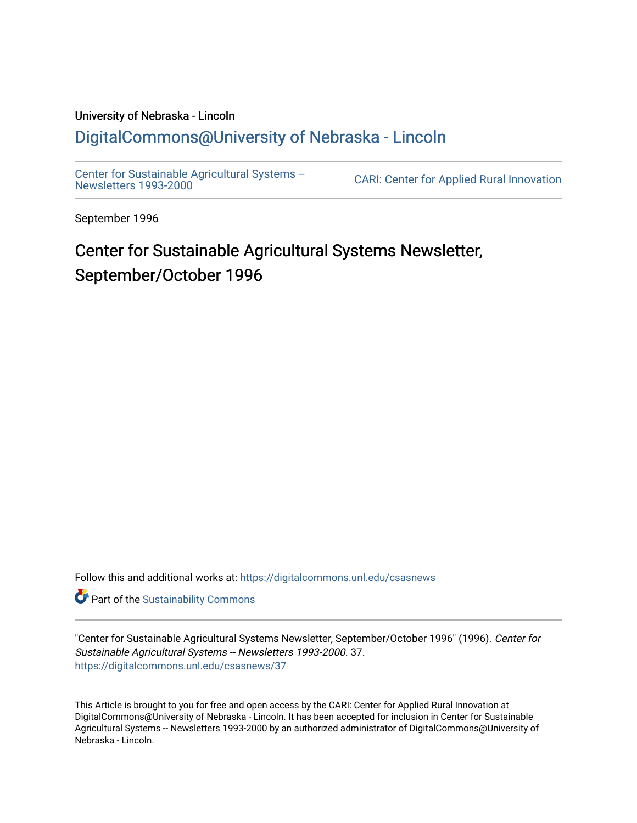# University of Nebraska - Lincoln [DigitalCommons@University of Nebraska - Lincoln](https://digitalcommons.unl.edu/)

[Center for Sustainable Agricultural Systems --](https://digitalcommons.unl.edu/csasnews)<br>Newsletters 1993-2000

CARI: Center for Applied Rural Innovation

September 1996

# Center for Sustainable Agricultural Systems Newsletter, September/October 1996

Follow this and additional works at: [https://digitalcommons.unl.edu/csasnews](https://digitalcommons.unl.edu/csasnews?utm_source=digitalcommons.unl.edu%2Fcsasnews%2F37&utm_medium=PDF&utm_campaign=PDFCoverPages) 

**Part of the [Sustainability Commons](http://network.bepress.com/hgg/discipline/1031?utm_source=digitalcommons.unl.edu%2Fcsasnews%2F37&utm_medium=PDF&utm_campaign=PDFCoverPages)** 

"Center for Sustainable Agricultural Systems Newsletter, September/October 1996" (1996). Center for Sustainable Agricultural Systems -- Newsletters 1993-2000. 37. [https://digitalcommons.unl.edu/csasnews/37](https://digitalcommons.unl.edu/csasnews/37?utm_source=digitalcommons.unl.edu%2Fcsasnews%2F37&utm_medium=PDF&utm_campaign=PDFCoverPages) 

This Article is brought to you for free and open access by the CARI: Center for Applied Rural Innovation at DigitalCommons@University of Nebraska - Lincoln. It has been accepted for inclusion in Center for Sustainable Agricultural Systems -- Newsletters 1993-2000 by an authorized administrator of DigitalCommons@University of Nebraska - Lincoln.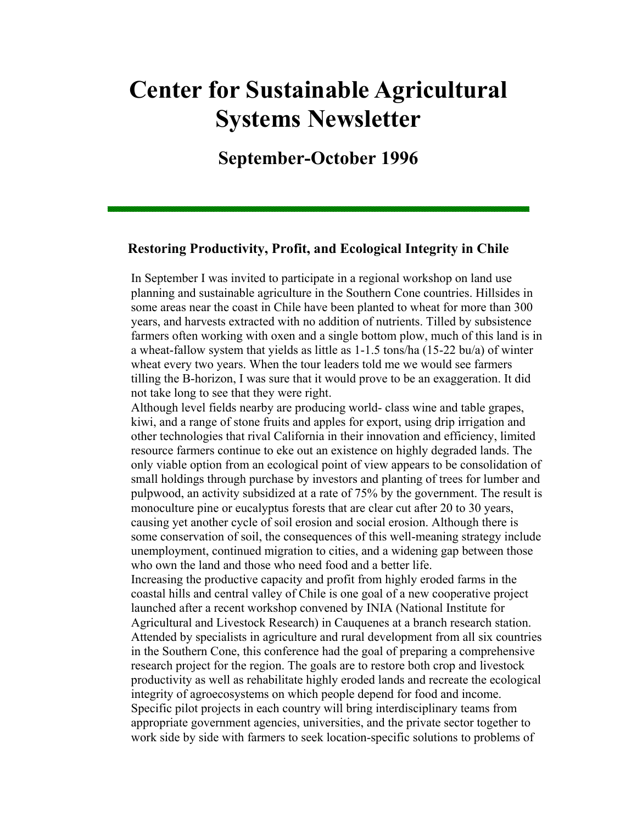# **Center for Sustainable Agricultural Systems Newsletter**

# **September-October 1996**

# **Restoring Productivity, Profit, and Ecological Integrity in Chile**

In September I was invited to participate in a regional workshop on land use planning and sustainable agriculture in the Southern Cone countries. Hillsides in some areas near the coast in Chile have been planted to wheat for more than 300 years, and harvests extracted with no addition of nutrients. Tilled by subsistence farmers often working with oxen and a single bottom plow, much of this land is in a wheat-fallow system that yields as little as 1-1.5 tons/ha (15-22 bu/a) of winter wheat every two years. When the tour leaders told me we would see farmers tilling the B-horizon, I was sure that it would prove to be an exaggeration. It did not take long to see that they were right.

Although level fields nearby are producing world- class wine and table grapes, kiwi, and a range of stone fruits and apples for export, using drip irrigation and other technologies that rival California in their innovation and efficiency, limited resource farmers continue to eke out an existence on highly degraded lands. The only viable option from an ecological point of view appears to be consolidation of small holdings through purchase by investors and planting of trees for lumber and pulpwood, an activity subsidized at a rate of 75% by the government. The result is monoculture pine or eucalyptus forests that are clear cut after 20 to 30 years, causing yet another cycle of soil erosion and social erosion. Although there is some conservation of soil, the consequences of this well-meaning strategy include unemployment, continued migration to cities, and a widening gap between those who own the land and those who need food and a better life.

Increasing the productive capacity and profit from highly eroded farms in the coastal hills and central valley of Chile is one goal of a new cooperative project launched after a recent workshop convened by INIA (National Institute for Agricultural and Livestock Research) in Cauquenes at a branch research station. Attended by specialists in agriculture and rural development from all six countries in the Southern Cone, this conference had the goal of preparing a comprehensive research project for the region. The goals are to restore both crop and livestock productivity as well as rehabilitate highly eroded lands and recreate the ecological integrity of agroecosystems on which people depend for food and income. Specific pilot projects in each country will bring interdisciplinary teams from appropriate government agencies, universities, and the private sector together to work side by side with farmers to seek location-specific solutions to problems of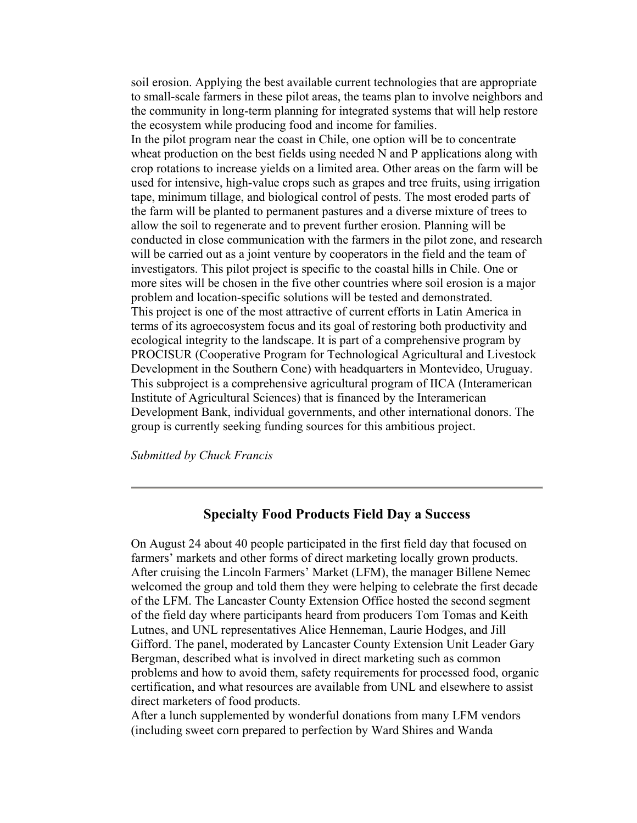soil erosion. Applying the best available current technologies that are appropriate to small-scale farmers in these pilot areas, the teams plan to involve neighbors and the community in long-term planning for integrated systems that will help restore the ecosystem while producing food and income for families. In the pilot program near the coast in Chile, one option will be to concentrate wheat production on the best fields using needed N and P applications along with crop rotations to increase yields on a limited area. Other areas on the farm will be used for intensive, high-value crops such as grapes and tree fruits, using irrigation tape, minimum tillage, and biological control of pests. The most eroded parts of the farm will be planted to permanent pastures and a diverse mixture of trees to allow the soil to regenerate and to prevent further erosion. Planning will be conducted in close communication with the farmers in the pilot zone, and research will be carried out as a joint venture by cooperators in the field and the team of investigators. This pilot project is specific to the coastal hills in Chile. One or more sites will be chosen in the five other countries where soil erosion is a major problem and location-specific solutions will be tested and demonstrated. This project is one of the most attractive of current efforts in Latin America in terms of its agroecosystem focus and its goal of restoring both productivity and ecological integrity to the landscape. It is part of a comprehensive program by PROCISUR (Cooperative Program for Technological Agricultural and Livestock Development in the Southern Cone) with headquarters in Montevideo, Uruguay. This subproject is a comprehensive agricultural program of IICA (Interamerican Institute of Agricultural Sciences) that is financed by the Interamerican Development Bank, individual governments, and other international donors. The group is currently seeking funding sources for this ambitious project.

*Submitted by Chuck Francis*

## **Specialty Food Products Field Day a Success**

On August 24 about 40 people participated in the first field day that focused on farmers' markets and other forms of direct marketing locally grown products. After cruising the Lincoln Farmers' Market (LFM), the manager Billene Nemec welcomed the group and told them they were helping to celebrate the first decade of the LFM. The Lancaster County Extension Office hosted the second segment of the field day where participants heard from producers Tom Tomas and Keith Lutnes, and UNL representatives Alice Henneman, Laurie Hodges, and Jill Gifford. The panel, moderated by Lancaster County Extension Unit Leader Gary Bergman, described what is involved in direct marketing such as common problems and how to avoid them, safety requirements for processed food, organic certification, and what resources are available from UNL and elsewhere to assist direct marketers of food products.

After a lunch supplemented by wonderful donations from many LFM vendors (including sweet corn prepared to perfection by Ward Shires and Wanda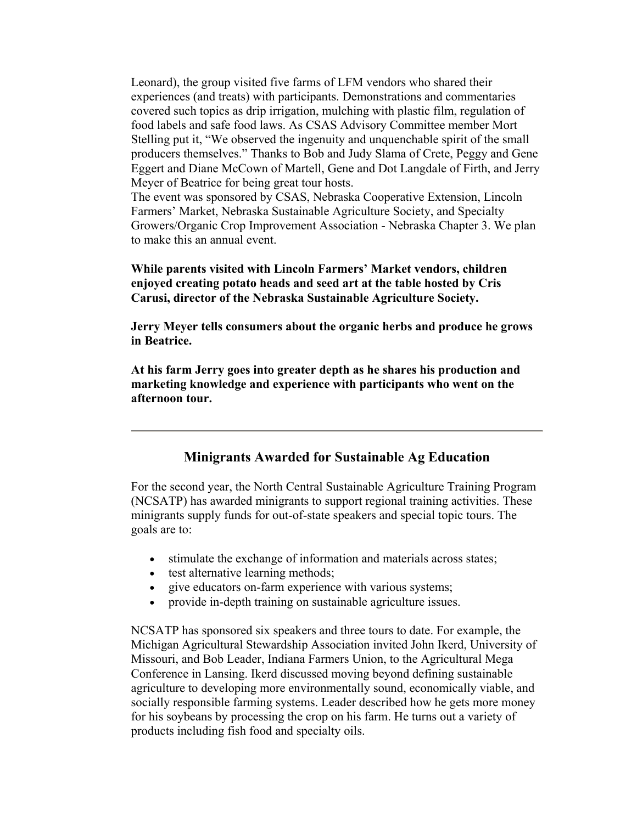Leonard), the group visited five farms of LFM vendors who shared their experiences (and treats) with participants. Demonstrations and commentaries covered such topics as drip irrigation, mulching with plastic film, regulation of food labels and safe food laws. As CSAS Advisory Committee member Mort Stelling put it, "We observed the ingenuity and unquenchable spirit of the small producers themselves." Thanks to Bob and Judy Slama of Crete, Peggy and Gene Eggert and Diane McCown of Martell, Gene and Dot Langdale of Firth, and Jerry Meyer of Beatrice for being great tour hosts.

The event was sponsored by CSAS, Nebraska Cooperative Extension, Lincoln Farmers' Market, Nebraska Sustainable Agriculture Society, and Specialty Growers/Organic Crop Improvement Association - Nebraska Chapter 3. We plan to make this an annual event.

#### **While parents visited with Lincoln Farmers' Market vendors, children enjoyed creating potato heads and seed art at the table hosted by Cris Carusi, director of the Nebraska Sustainable Agriculture Society.**

**Jerry Meyer tells consumers about the organic herbs and produce he grows in Beatrice.** 

**At his farm Jerry goes into greater depth as he shares his production and marketing knowledge and experience with participants who went on the afternoon tour.** 

# **Minigrants Awarded for Sustainable Ag Education**

For the second year, the North Central Sustainable Agriculture Training Program (NCSATP) has awarded minigrants to support regional training activities. These minigrants supply funds for out-of-state speakers and special topic tours. The goals are to:

- stimulate the exchange of information and materials across states;
- test alternative learning methods;
- give educators on-farm experience with various systems;
- provide in-depth training on sustainable agriculture issues.

NCSATP has sponsored six speakers and three tours to date. For example, the Michigan Agricultural Stewardship Association invited John Ikerd, University of Missouri, and Bob Leader, Indiana Farmers Union, to the Agricultural Mega Conference in Lansing. Ikerd discussed moving beyond defining sustainable agriculture to developing more environmentally sound, economically viable, and socially responsible farming systems. Leader described how he gets more money for his soybeans by processing the crop on his farm. He turns out a variety of products including fish food and specialty oils.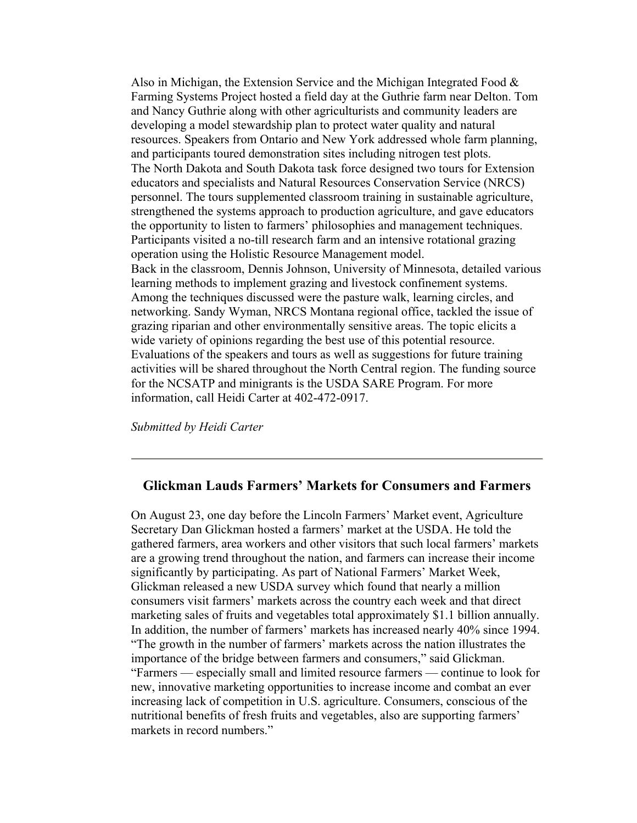Also in Michigan, the Extension Service and the Michigan Integrated Food  $\&$ Farming Systems Project hosted a field day at the Guthrie farm near Delton. Tom and Nancy Guthrie along with other agriculturists and community leaders are developing a model stewardship plan to protect water quality and natural resources. Speakers from Ontario and New York addressed whole farm planning, and participants toured demonstration sites including nitrogen test plots. The North Dakota and South Dakota task force designed two tours for Extension educators and specialists and Natural Resources Conservation Service (NRCS) personnel. The tours supplemented classroom training in sustainable agriculture, strengthened the systems approach to production agriculture, and gave educators the opportunity to listen to farmers' philosophies and management techniques. Participants visited a no-till research farm and an intensive rotational grazing operation using the Holistic Resource Management model. Back in the classroom, Dennis Johnson, University of Minnesota, detailed various learning methods to implement grazing and livestock confinement systems. Among the techniques discussed were the pasture walk, learning circles, and networking. Sandy Wyman, NRCS Montana regional office, tackled the issue of grazing riparian and other environmentally sensitive areas. The topic elicits a wide variety of opinions regarding the best use of this potential resource. Evaluations of the speakers and tours as well as suggestions for future training activities will be shared throughout the North Central region. The funding source for the NCSATP and minigrants is the USDA SARE Program. For more information, call Heidi Carter at 402-472-0917.

*Submitted by Heidi Carter*

## **Glickman Lauds Farmers' Markets for Consumers and Farmers**

On August 23, one day before the Lincoln Farmers' Market event, Agriculture Secretary Dan Glickman hosted a farmers' market at the USDA. He told the gathered farmers, area workers and other visitors that such local farmers' markets are a growing trend throughout the nation, and farmers can increase their income significantly by participating. As part of National Farmers' Market Week, Glickman released a new USDA survey which found that nearly a million consumers visit farmers' markets across the country each week and that direct marketing sales of fruits and vegetables total approximately \$1.1 billion annually. In addition, the number of farmers' markets has increased nearly 40% since 1994. "The growth in the number of farmers' markets across the nation illustrates the importance of the bridge between farmers and consumers," said Glickman. "Farmers — especially small and limited resource farmers — continue to look for new, innovative marketing opportunities to increase income and combat an ever increasing lack of competition in U.S. agriculture. Consumers, conscious of the nutritional benefits of fresh fruits and vegetables, also are supporting farmers' markets in record numbers."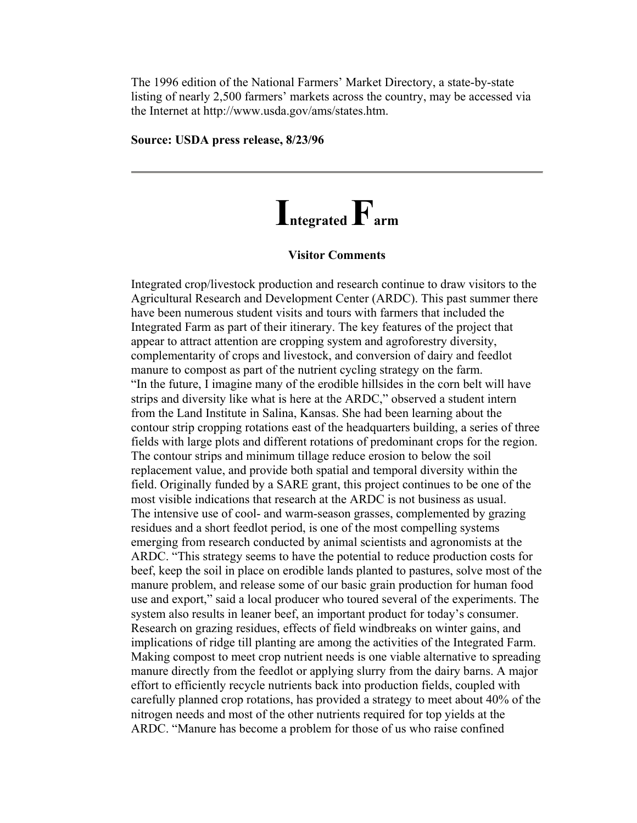The 1996 edition of the National Farmers' Market Directory, a state-by-state listing of nearly 2,500 farmers' markets across the country, may be accessed via the Internet at http://www.usda.gov/ams/states.htm.

#### **Source: USDA press release, 8/23/96**

# **Integrated Farm**

#### **Visitor Comments**

Integrated crop/livestock production and research continue to draw visitors to the Agricultural Research and Development Center (ARDC). This past summer there have been numerous student visits and tours with farmers that included the Integrated Farm as part of their itinerary. The key features of the project that appear to attract attention are cropping system and agroforestry diversity, complementarity of crops and livestock, and conversion of dairy and feedlot manure to compost as part of the nutrient cycling strategy on the farm. "In the future, I imagine many of the erodible hillsides in the corn belt will have strips and diversity like what is here at the ARDC," observed a student intern from the Land Institute in Salina, Kansas. She had been learning about the contour strip cropping rotations east of the headquarters building, a series of three fields with large plots and different rotations of predominant crops for the region. The contour strips and minimum tillage reduce erosion to below the soil replacement value, and provide both spatial and temporal diversity within the field. Originally funded by a SARE grant, this project continues to be one of the most visible indications that research at the ARDC is not business as usual. The intensive use of cool- and warm-season grasses, complemented by grazing residues and a short feedlot period, is one of the most compelling systems emerging from research conducted by animal scientists and agronomists at the ARDC. "This strategy seems to have the potential to reduce production costs for beef, keep the soil in place on erodible lands planted to pastures, solve most of the manure problem, and release some of our basic grain production for human food use and export," said a local producer who toured several of the experiments. The system also results in leaner beef, an important product for today's consumer. Research on grazing residues, effects of field windbreaks on winter gains, and implications of ridge till planting are among the activities of the Integrated Farm. Making compost to meet crop nutrient needs is one viable alternative to spreading manure directly from the feedlot or applying slurry from the dairy barns. A major effort to efficiently recycle nutrients back into production fields, coupled with carefully planned crop rotations, has provided a strategy to meet about 40% of the nitrogen needs and most of the other nutrients required for top yields at the ARDC. "Manure has become a problem for those of us who raise confined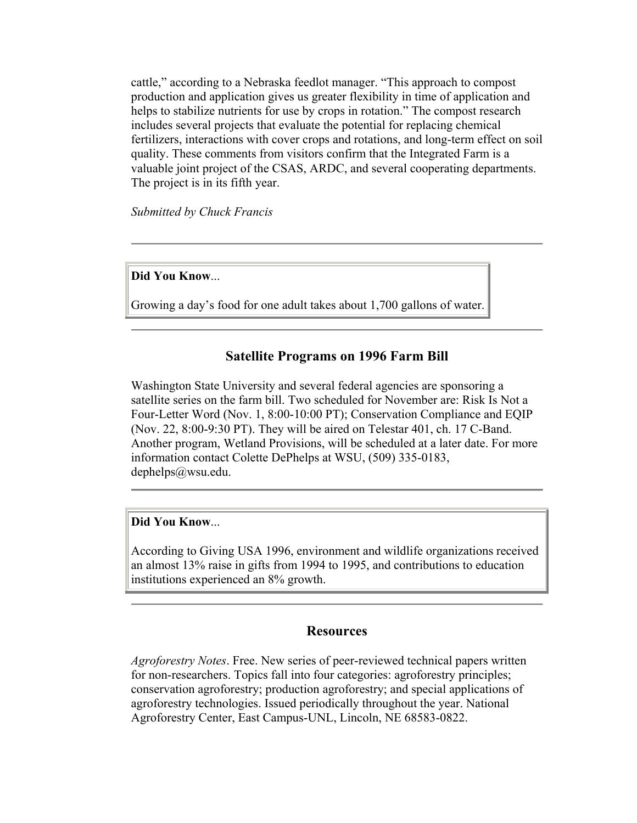cattle," according to a Nebraska feedlot manager. "This approach to compost production and application gives us greater flexibility in time of application and helps to stabilize nutrients for use by crops in rotation." The compost research includes several projects that evaluate the potential for replacing chemical fertilizers, interactions with cover crops and rotations, and long-term effect on soil quality. These comments from visitors confirm that the Integrated Farm is a valuable joint project of the CSAS, ARDC, and several cooperating departments. The project is in its fifth year.

*Submitted by Chuck Francis*

#### **Did You Know**...

Growing a day's food for one adult takes about 1,700 gallons of water.

# **Satellite Programs on 1996 Farm Bill**

Washington State University and several federal agencies are sponsoring a satellite series on the farm bill. Two scheduled for November are: Risk Is Not a Four-Letter Word (Nov. 1, 8:00-10:00 PT); Conservation Compliance and EQIP (Nov. 22, 8:00-9:30 PT). They will be aired on Telestar 401, ch. 17 C-Band. Another program, Wetland Provisions, will be scheduled at a later date. For more information contact Colette DePhelps at WSU, (509) 335-0183, dephelps@wsu.edu.

#### **Did You Know**...

According to Giving USA 1996, environment and wildlife organizations received an almost 13% raise in gifts from 1994 to 1995, and contributions to education institutions experienced an 8% growth.

#### **Resources**

*Agroforestry Notes*. Free. New series of peer-reviewed technical papers written for non-researchers. Topics fall into four categories: agroforestry principles; conservation agroforestry; production agroforestry; and special applications of agroforestry technologies. Issued periodically throughout the year. National Agroforestry Center, East Campus-UNL, Lincoln, NE 68583-0822.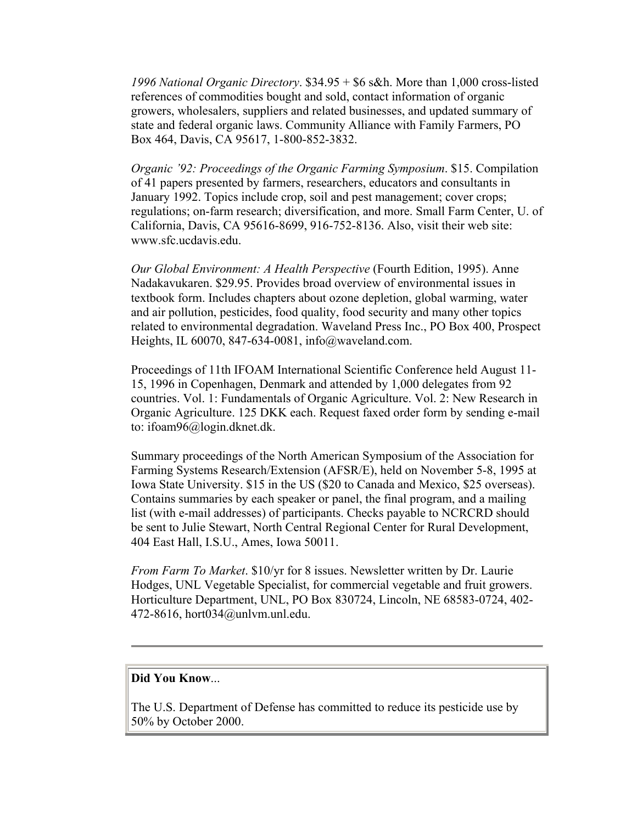*1996 National Organic Directory*. \$34.95 + \$6 s&h. More than 1,000 cross-listed references of commodities bought and sold, contact information of organic growers, wholesalers, suppliers and related businesses, and updated summary of state and federal organic laws. Community Alliance with Family Farmers, PO Box 464, Davis, CA 95617, 1-800-852-3832.

*Organic '92: Proceedings of the Organic Farming Symposium*. \$15. Compilation of 41 papers presented by farmers, researchers, educators and consultants in January 1992. Topics include crop, soil and pest management; cover crops; regulations; on-farm research; diversification, and more. Small Farm Center, U. of California, Davis, CA 95616-8699, 916-752-8136. Also, visit their web site: www.sfc.ucdavis.edu.

*Our Global Environment: A Health Perspective* (Fourth Edition, 1995). Anne Nadakavukaren. \$29.95. Provides broad overview of environmental issues in textbook form. Includes chapters about ozone depletion, global warming, water and air pollution, pesticides, food quality, food security and many other topics related to environmental degradation. Waveland Press Inc., PO Box 400, Prospect Heights, IL 60070, 847-634-0081, info@waveland.com.

Proceedings of 11th IFOAM International Scientific Conference held August 11- 15, 1996 in Copenhagen, Denmark and attended by 1,000 delegates from 92 countries. Vol. 1: Fundamentals of Organic Agriculture. Vol. 2: New Research in Organic Agriculture. 125 DKK each. Request faxed order form by sending e-mail to: ifoam96@login.dknet.dk.

Summary proceedings of the North American Symposium of the Association for Farming Systems Research/Extension (AFSR/E), held on November 5-8, 1995 at Iowa State University. \$15 in the US (\$20 to Canada and Mexico, \$25 overseas). Contains summaries by each speaker or panel, the final program, and a mailing list (with e-mail addresses) of participants. Checks payable to NCRCRD should be sent to Julie Stewart, North Central Regional Center for Rural Development, 404 East Hall, I.S.U., Ames, Iowa 50011.

*From Farm To Market*. \$10/yr for 8 issues. Newsletter written by Dr. Laurie Hodges, UNL Vegetable Specialist, for commercial vegetable and fruit growers. Horticulture Department, UNL, PO Box 830724, Lincoln, NE 68583-0724, 402- 472-8616, hort034@unlvm.unl.edu.

#### **Did You Know**...

The U.S. Department of Defense has committed to reduce its pesticide use by 50% by October 2000.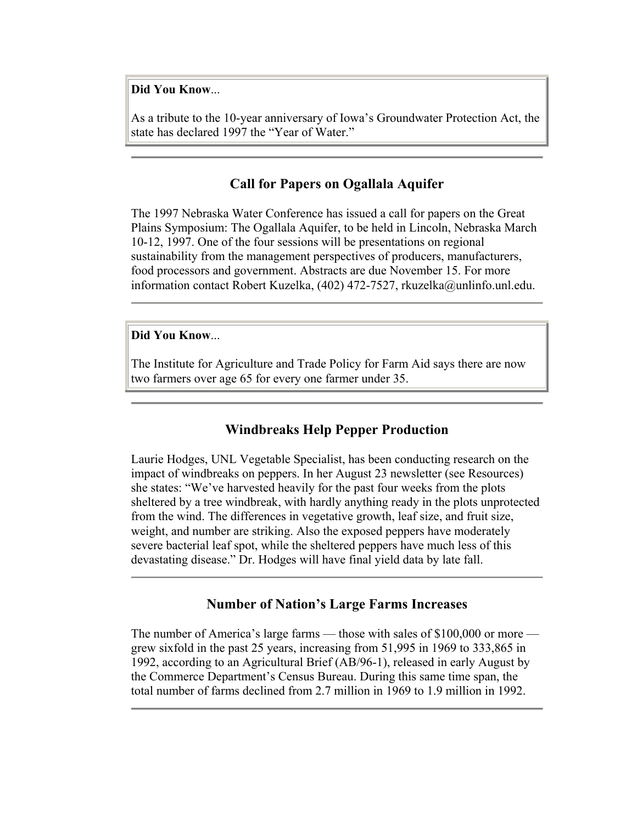**Did You Know**...

As a tribute to the 10-year anniversary of Iowa's Groundwater Protection Act, the state has declared 1997 the "Year of Water."

#### **Call for Papers on Ogallala Aquifer**

The 1997 Nebraska Water Conference has issued a call for papers on the Great Plains Symposium: The Ogallala Aquifer, to be held in Lincoln, Nebraska March 10-12, 1997. One of the four sessions will be presentations on regional sustainability from the management perspectives of producers, manufacturers, food processors and government. Abstracts are due November 15. For more information contact Robert Kuzelka, (402) 472-7527, rkuzelka@unlinfo.unl.edu.

#### **Did You Know**...

The Institute for Agriculture and Trade Policy for Farm Aid says there are now two farmers over age 65 for every one farmer under 35.

#### **Windbreaks Help Pepper Production**

Laurie Hodges, UNL Vegetable Specialist, has been conducting research on the impact of windbreaks on peppers. In her August 23 newsletter (see Resources) she states: "We've harvested heavily for the past four weeks from the plots sheltered by a tree windbreak, with hardly anything ready in the plots unprotected from the wind. The differences in vegetative growth, leaf size, and fruit size, weight, and number are striking. Also the exposed peppers have moderately severe bacterial leaf spot, while the sheltered peppers have much less of this devastating disease." Dr. Hodges will have final yield data by late fall.

#### **Number of Nation's Large Farms Increases**

The number of America's large farms — those with sales of \$100,000 or more grew sixfold in the past 25 years, increasing from 51,995 in 1969 to 333,865 in 1992, according to an Agricultural Brief (AB/96-1), released in early August by the Commerce Department's Census Bureau. During this same time span, the total number of farms declined from 2.7 million in 1969 to 1.9 million in 1992.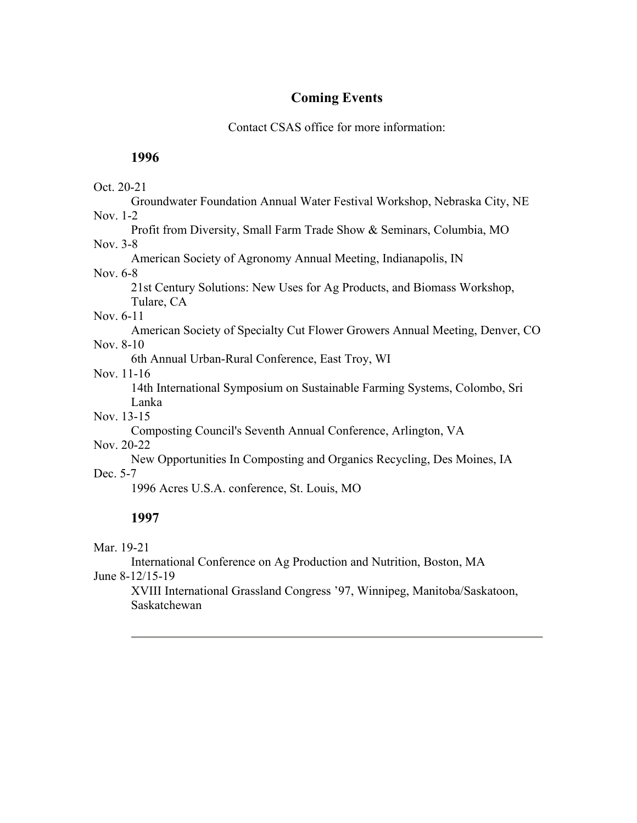# **Coming Events**

Contact CSAS office for more information:

## **1996**

#### Oct. 20-21

Groundwater Foundation Annual Water Festival Workshop, Nebraska City, NE Nov. 1-2

Profit from Diversity, Small Farm Trade Show & Seminars, Columbia, MO

#### Nov. 3-8

American Society of Agronomy Annual Meeting, Indianapolis, IN

#### Nov. 6-8

21st Century Solutions: New Uses for Ag Products, and Biomass Workshop, Tulare, CA

#### Nov. 6-11

American Society of Specialty Cut Flower Growers Annual Meeting, Denver, CO Nov. 8-10

6th Annual Urban-Rural Conference, East Troy, WI

Nov. 11-16

14th International Symposium on Sustainable Farming Systems, Colombo, Sri Lanka

Nov. 13-15

Composting Council's Seventh Annual Conference, Arlington, VA

# Nov. 20-22

New Opportunities In Composting and Organics Recycling, Des Moines, IA Dec. 5-7

1996 Acres U.S.A. conference, St. Louis, MO

# **1997**

Mar. 19-21

International Conference on Ag Production and Nutrition, Boston, MA

June 8-12/15-19

XVIII International Grassland Congress '97, Winnipeg, Manitoba/Saskatoon, Saskatchewan